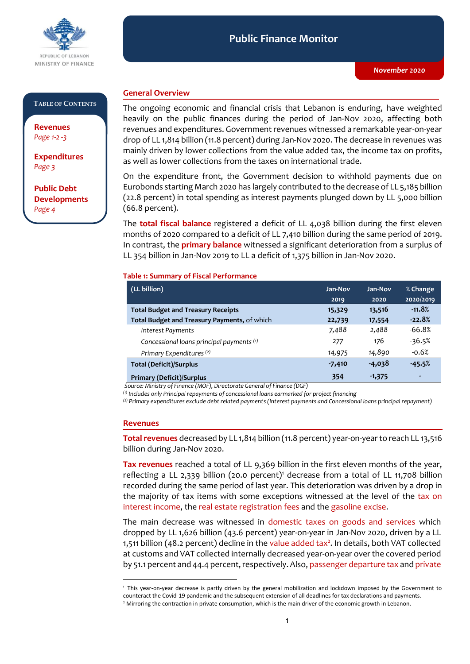

#### **Public Finance Monitor** *November 2020* **Public Finance Monitor**

### **TABLE OF CONTENTS**

**Revenues**  *Page 1-2 -3*

**Expenditures**  *Page 3*

**Public Debt Developments** *Page 4*

### **General Overview**

The ongoing economic and financial crisis that Lebanon is enduring, have weighted heavily on the public finances during the period of Jan-Nov 2020, affecting both revenues and expenditures. Government revenues witnessed a remarkable year-on-year drop of LL 1,814 billion (11.8 percent) during Jan-Nov 2020. The decrease in revenues was mainly driven by lower collections from the value added tax, the income tax on profits, as well as lower collections from the taxes on international trade.

On the expenditure front, the Government decision to withhold payments due on Eurobonds starting March 2020 has largely contributed to the decrease of LL 5,185 billion (22.8 percent) in total spending as interest payments plunged down by LL 5,000 billion (66.8 percent).

The **total fiscal balance** registered a deficit of LL 4,038 billion during the first eleven months of 2020 compared to a deficit of LL 7,410 billion during the same period of 2019. In contrast, the **primary balance** witnessed a significant deterioration from a surplus of LL 354 billion in Jan-Nov 2019 to LL a deficit of 1,375 billion in Jan-Nov 2020.

### **Table 1: Summary of Fiscal Performance**

| (LL billion)                                 | Jan-Nov  | <b>Jan-Nov</b> | % Change  |
|----------------------------------------------|----------|----------------|-----------|
|                                              | 2019     | 2020           | 2020/2019 |
| <b>Total Budget and Treasury Receipts</b>    | 15,329   | 13,516         | $-11.8%$  |
| Total Budget and Treasury Payments, of which | 22,739   | 17,554         | $-22.8%$  |
| Interest Payments                            | 7,488    | 2,488          | $-66.8%$  |
| Concessional loans principal payments (1)    | 277      | 176            | $-36.5%$  |
| Primary Expenditures <sup>(2)</sup>          | 14,975   | 14,890         | $-0.6%$   |
| <b>Total (Deficit)/Surplus</b>               | $-7,410$ | -4,038         | $-45.5%$  |
| <b>Primary (Deficit)/Surplus</b>             | 354      | $-1,375$       | ٠         |

*Source: Ministry of Finance (MOF), Directorate General of Finance (DGF)*

*(1) Includes only Principal repayments of concessional loans earmarked for project financing*

*(2) Primary expenditures exclude debt related payments (Interest payments and Concessional loans principal repayment)*

### **Revenues**

-

Total revenues decreased by LL 1,814 billion (11.8 percent) year-on-year to reach LL 13,516 billion during Jan-Nov 2020.

**Tax revenues** reached a total of LL 9,369 billion in the first eleven months of the year, reflecting a LL 2,339 billion (20.0 percent)<sup>1</sup> decrease from a total of LL 11,708 billion recorded during the same period of last year. This deterioration was driven by a drop in the majority of tax items with some exceptions witnessed at the level of the tax on interest income, the real estate registration fees and the gasoline excise.

The main decrease was witnessed in domestic taxes on goods and services which dropped by LL 1,626 billion (43.6 percent) year-on-year in Jan-Nov 2020, driven by a LL 1,511 billion (48.2 percent) decline in the value added  $\text{tax}^2$ . In details, both VAT collected at customs and VAT collected internally decreased year-on-year over the covered period by 51.1 percent and 44.4 percent, respectively. Also, passenger departure tax and private

<sup>1</sup> This year-on-year decrease is partly driven by the general mobilization and lockdown imposed by the Government to counteract the Covid-19 pandemic and the subsequent extension of all deadlines for tax declarations and payments.

<sup>&</sup>lt;sup>2</sup> Mirroring the contraction in private consumption, which is the main driver of the economic growth in Lebanon.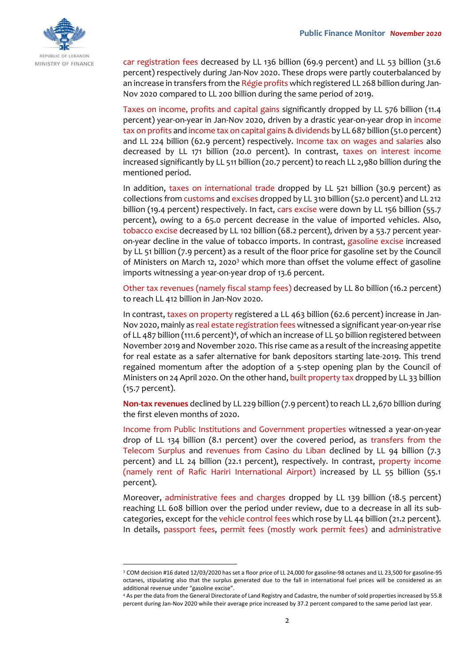

car registration fees decreased by LL 136 billion (69.9 percent) and LL 53 billion (31.6 percent) respectively during Jan-Nov 2020. These drops were partly couterbalanced by an increase in transfers from the Régie profits which registered LL 268 billion during Jan-Nov 2020 compared to LL 200 billion during the same period of 2019.

Taxes on income, profits and capital gains significantly dropped by LL 576 billion (11.4 percent) year-on-year in Jan-Nov 2020, driven by a drastic year-on-year drop in income tax on profits and income tax on capital gains & dividends by LL 687 billion (51.0 percent) and LL 224 billion (62.9 percent) respectively. Income tax on wages and salaries also decreased by LL 171 billion (20.0 percent). In contrast, taxes on interest income increased significantly by LL 511 billion (20.7 percent) to reach LL 2,980 billion during the mentioned period.

In addition, taxes on international trade dropped by LL 521 billion (30.9 percent) as collections from customs and excises dropped by LL 310 billion (52.0 percent) and LL 212 billion (19.4 percent) respectively. In fact, cars excise were down by LL 156 billion (55.7 percent), owing to a 65.0 percent decrease in the value of imported vehicles. Also, tobacco excise decreased by LL 102 billion (68.2 percent), driven by a 53.7 percent yearon-year decline in the value of tobacco imports. In contrast, gasoline excise increased by LL 51 billion (7.9 percent) as a result of the floor price for gasoline set by the Council of Ministers on March 12, 2020<sup>3</sup> which more than offset the volume effect of gasoline imports witnessing a year-on-year drop of 13.6 percent.

Other tax revenues (namely fiscal stamp fees) decreased by LL 80 billion (16.2 percent) to reach LL 412 billion in Jan-Nov 2020.

In contrast, taxes on property registered a LL 463 billion (62.6 percent) increase in Jan-Nov 2020, mainly as real estate registration fees witnessed a significant year-on-year rise of LL 487 billion (111.6 percent)<sup>4</sup>, of which an increase of LL 50 billion registered between November 2019 and November 2020. This rise came as a result of the increasing appetite for real estate as a safer alternative for bank depositors starting late-2019. This trend regained momentum after the adoption of a 5-step opening plan by the Council of Ministers on 24 April 2020. On the other hand, built property tax dropped by LL 33 billion (15.7 percent).

**Non-tax revenues** declined by LL 229 billion (7.9 percent) to reach LL 2,670 billion during the first eleven months of 2020.

Income from Public Institutions and Government properties witnessed a year-on-year drop of LL 134 billion (8.1 percent) over the covered period, as transfers from the Telecom Surplus and revenues from Casino du Liban declined by LL 94 billion (7.3 percent) and LL 24 billion (22.1 percent), respectively. In contrast, property income (namely rent of Rafic Hariri International Airport) increased by LL 55 billion (55.1 percent).

Moreover, administrative fees and charges dropped by LL 139 billion (18.5 percent) reaching LL 608 billion over the period under review, due to a decrease in all its subcategories, except for the vehicle control fees which rose by LL 44 billion (21.2 percent). In details, passport fees, permit fees (mostly work permit fees) and administrative

-

<sup>3</sup> COM decision #16 dated 12/03/2020 has set a floor price of LL 24,000 for gasoline-98 octanes and LL 23,500 for gasoline-95 octanes, stipulating also that the surplus generated due to the fall in international fuel prices will be considered as an additional revenue under "gasoline excise".

<sup>4</sup> As per the data from the General Directorate of Land Registry and Cadastre, the number of sold properties increased by 55.8 percent during Jan-Nov 2020 while their average price increased by 37.2 percent compared to the same period last year.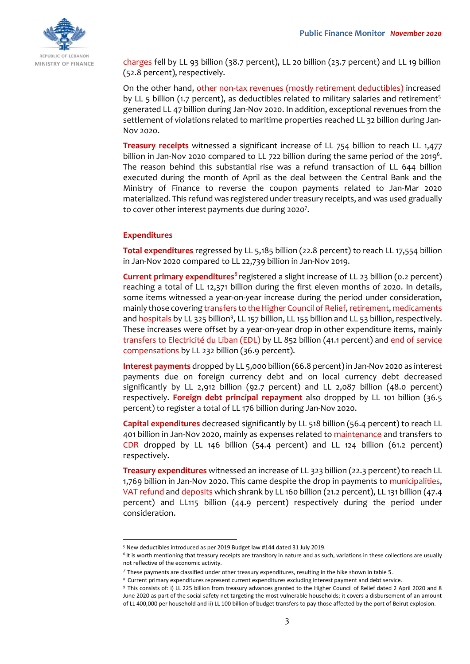

charges fell by LL 93 billion (38.7 percent), LL 20 billion (23.7 percent) and LL 19 billion (52.8 percent), respectively.

On the other hand, other non-tax revenues (mostly retirement deductibles) increased by LL 5 billion (1.7 percent), as deductibles related to military salaries and retirement<sup>5</sup> generated LL 47 billion during Jan-Nov 2020. In addition, exceptional revenues from the settlement of violations related to maritime properties reached LL 32 billion during Jan-Nov 2020.

**Treasury receipts** witnessed a significant increase of LL 754 billion to reach LL 1,477 billion in Jan-Nov 2020 compared to LL 722 billion during the same period of the 2019<sup>6</sup>. The reason behind this substantial rise was a refund transaction of LL 644 billion executed during the month of April as the deal between the Central Bank and the Ministry of Finance to reverse the coupon payments related to Jan-Mar 2020 materialized. This refund was registered under treasury receipts, and was used gradually to cover other interest payments due during 2020<sup>7</sup>.

### **Expenditures**

-

**Total expenditures** regressed by LL 5,185 billion (22.8 percent) to reach LL 17,554 billion in Jan-Nov 2020 compared to LL 22,739 billion in Jan-Nov 2019.

**Current primary expenditures**<sup>8</sup> registered a slight increase of LL 23 billion (0.2 percent) reaching a total of LL 12,371 billion during the first eleven months of 2020. In details, some items witnessed a year-on-year increase during the period under consideration, mainly those covering transfers to the Higher Council of Relief, retirement, medicaments and hospitals by LL 325 billion<sup>9</sup>, LL 157 billion, LL 155 billion and LL 53 billion, respectively. These increases were offset by a year-on-year drop in other expenditure items, mainly transfers to Electricité du Liban (EDL) by LL 852 billion (41.1 percent) and end of service compensations by LL 232 billion (36.9 percent).

**Interest payments** dropped by LL 5,000 billion (66.8 percent) in Jan-Nov 2020 as interest payments due on foreign currency debt and on local currency debt decreased significantly by LL 2,912 billion (92.7 percent) and LL 2,087 billion (48.0 percent) respectively. **Foreign debt principal repayment** also dropped by LL 101 billion (36.5 percent) to register a total of LL 176 billion during Jan-Nov 2020.

**Capital expenditures** decreased significantly by LL 518 billion (56.4 percent) to reach LL 401 billion in Jan-Nov 2020, mainly as expenses related to maintenance and transfers to CDR dropped by LL 146 billion (54.4 percent) and LL 124 billion (61.2 percent) respectively.

**Treasury expenditures** witnessed an increase of LL 323 billion (22.3 percent) to reach LL 1,769 billion in Jan-Nov 2020. This came despite the drop in payments to municipalities, VAT refund and deposits which shrank by LL 160 billion (21.2 percent), LL 131 billion (47.4 percent) and LL115 billion (44.9 percent) respectively during the period under consideration.

<sup>5</sup> New deductibles introduced as per 2019 Budget law #144 dated 31 July 2019.

<sup>&</sup>lt;sup>6</sup> It is worth mentioning that treasury receipts are transitory in nature and as such, variations in these collections are usually not reflective of the economic activity.

 $^7$  These payments are classified under other treasury expenditures, resulting in the hike shown in table 5.

<sup>8</sup> Current primary expenditures represent current expenditures excluding interest payment and debt service.

<sup>9</sup> This consists of: i) LL 225 billion from treasury advances granted to the Higher Council of Relief dated 2 April 2020 and 8 June 2020 as part of the social safety net targeting the most vulnerable households; it covers a disbursement of an amount of LL 400,000 per household and ii) LL 100 billion of budget transfers to pay those affected by the port of Beirut explosion.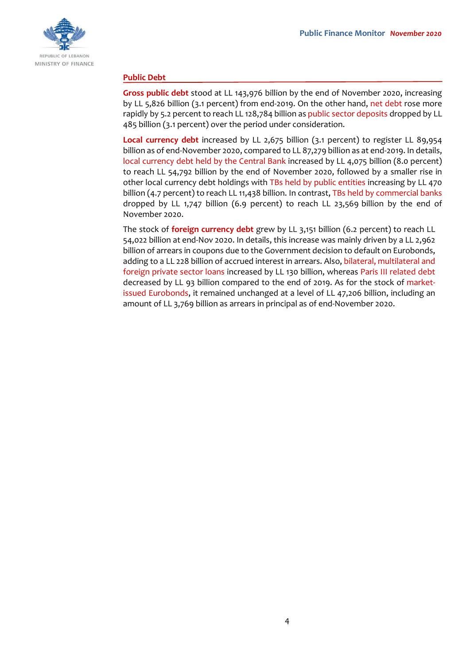

### **Public Debt**

**Gross public debt** stood at LL 143,976 billion by the end of November 2020, increasing by LL 5,826 billion (3.1 percent) from end-2019. On the other hand, net debt rose more rapidly by 5.2 percent to reach LL 128,784 billion as public sector deposits dropped by LL 485 billion (3.1 percent) over the period under consideration.

**Local currency debt** increased by LL 2,675 billion (3.1 percent) to register LL 89,954 billion as of end-November 2020, compared to LL 87,279 billion as at end-2019. In details, local currency debt held by the Central Bank increased by LL 4,075 billion (8.0 percent) to reach LL 54,792 billion by the end of November 2020, followed by a smaller rise in other local currency debt holdings with TBs held by public entities increasing by LL 470 billion (4.7 percent) to reach LL 11,438 billion. In contrast, TBs held by commercial banks dropped by LL 1,747 billion (6.9 percent) to reach LL 23,569 billion by the end of November 2020.

The stock of **foreign currency debt** grew by LL 3,151 billion (6.2 percent) to reach LL 54,022 billion at end-Nov 2020. In details, this increase was mainly driven by a LL 2,962 billion of arrears in coupons due to the Government decision to default on Eurobonds, adding to a LL 228 billion of accrued interest in arrears. Also, bilateral, multilateral and foreign private sector loans increased by LL 130 billion, whereas Paris III related debt decreased by LL 93 billion compared to the end of 2019. As for the stock of marketissued Eurobonds, it remained unchanged at a level of LL 47,206 billion, including an amount of LL 3,769 billion as arrears in principal as of end-November 2020.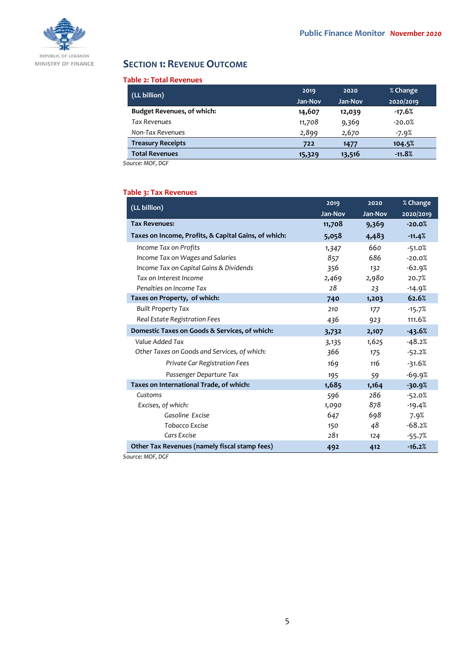

# **SECTION 1: REVENUE OUTCOME**

### **Table 2: Total Revenues**

| (LL billion)                      | 2019    | 2020    | % Change  |
|-----------------------------------|---------|---------|-----------|
|                                   | Jan-Nov | Jan-Nov | 2020/2019 |
| <b>Budget Revenues, of which:</b> | 14,607  | 12,039  | $-17.6%$  |
| <b>Tax Revenues</b>               | 11,708  | 9,369   | $-20.0%$  |
| Non-Tax Revenues                  | 2,899   | 2,670   | -7.9%     |
| <b>Treasury Receipts</b>          | 722     | 1477    | 104.5%    |
| <b>Total Revenues</b>             | 15,329  | 13,516  | $-11.8%$  |

*Source: MOF, DGF*

## **Table 3: Tax Revenues**

| (LL billion)                                         | 2019    | 2020    | % Change  |
|------------------------------------------------------|---------|---------|-----------|
|                                                      | Jan-Nov | Jan-Nov | 2020/2019 |
| <b>Tax Revenues:</b>                                 | 11,708  | 9,369   | $-20.0%$  |
| Taxes on Income, Profits, & Capital Gains, of which: | 5,058   | 4,483   | $-11.4%$  |
| Income Tax on Profits                                | 1,347   | 660     | $-51.0%$  |
| Income Tax on Wages and Salaries                     | 857     | 686     | $-20.0%$  |
| Income Tax on Capital Gains & Dividends              | 356     | 132     | $-62.9%$  |
| Tax on Interest Income                               | 2,469   | 2,980   | 20.7%     |
| Penalties on Income Tax                              | 28      | 23      | $-14.9%$  |
| Taxes on Property, of which:                         | 740     | 1,203   | 62.6%     |
| <b>Built Property Tax</b>                            | 210     | 177     | $-15.7%$  |
| Real Estate Registration Fees                        | 436     | 923     | 111.6%    |
| Domestic Taxes on Goods & Services, of which:        | 3,732   | 2,107   | $-43.6%$  |
| Value Added Tax                                      | 3,135   | 1,625   | $-48.2%$  |
| Other Taxes on Goods and Services, of which:         | 366     | 175     | $-52.2%$  |
| Private Car Registration Fees                        | 169     | 116     | $-31.6%$  |
| Passenger Departure Tax                              | 195     | 59      | $-69.9%$  |
| Taxes on International Trade, of which:              | 1,685   | 1,164   | $-30.9%$  |
| Customs                                              | 596     | 286     | $-52.0%$  |
| Excises, of which:                                   | 1,090   | 878     | $-19.4%$  |
| Gasoline Excise                                      | 647     | 698     | 7.9%      |
| Tobacco Excise                                       | 150     | 48      | $-68.2%$  |
| Cars Excise                                          | 281     | 124     | $-55.7%$  |
| Other Tax Revenues (namely fiscal stamp fees)        | 492     | 412     | $-16.2%$  |

*Source: MOF, DGF*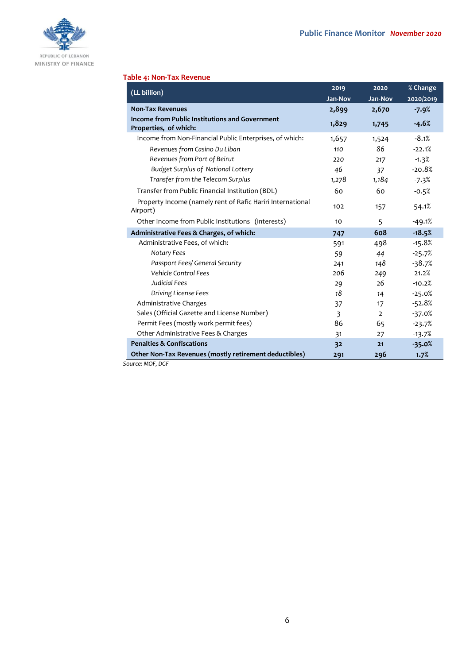

### **Table 4: Non-Tax Revenue**

| (LL billion)                                                            | 2019    | 2020           | % Change  |
|-------------------------------------------------------------------------|---------|----------------|-----------|
|                                                                         | Jan-Nov | Jan-Nov        | 2020/2019 |
| <b>Non-Tax Revenues</b>                                                 | 2,899   | 2,670          | $-7.9%$   |
| Income from Public Institutions and Government<br>Properties, of which: | 1,829   | 1,745          | $-4.6%$   |
| Income from Non-Financial Public Enterprises, of which:                 | 1,657   | 1,524          | $-8.1%$   |
| Revenues from Casino Du Liban                                           | 110     | 86             | $-22.1%$  |
| Revenues from Port of Beirut                                            | 220     | 217            | $-1.3%$   |
| <b>Budget Surplus of National Lottery</b>                               | 46      | 37             | $-20.8%$  |
| Transfer from the Telecom Surplus                                       | 1,278   | 1,184          | $-7.3%$   |
| Transfer from Public Financial Institution (BDL)                        | 60      | 60             | $-0.5%$   |
| Property Income (namely rent of Rafic Hariri International<br>Airport)  | 102     | 157            | 54.1%     |
| Other Income from Public Institutions (interests)                       | 10      | 5              | $-49.1%$  |
| Administrative Fees & Charges, of which:                                | 747     | 608            | $-18.5%$  |
| Administrative Fees, of which:                                          | 591     | 498            | $-15.8%$  |
| Notary Fees                                                             | 59      | 44             | $-25.7%$  |
| Passport Fees/ General Security                                         | 241     | 148            | $-38.7%$  |
| <b>Vehicle Control Fees</b>                                             | 206     | 249            | 21.2%     |
| Judicial Fees                                                           | 29      | 26             | $-10.2%$  |
| Driving License Fees                                                    | 18      | 14             | $-25.0%$  |
| Administrative Charges                                                  | 37      | 17             | $-52.8%$  |
| Sales (Official Gazette and License Number)                             | 3       | $\overline{2}$ | $-37.0%$  |
| Permit Fees (mostly work permit fees)                                   | 86      | 65             | $-23.7%$  |
| Other Administrative Fees & Charges                                     | 31      | 27             | $-13.7%$  |
| <b>Penalties &amp; Confiscations</b>                                    | 32      | 21             | $-35.0%$  |
| Other Non-Tax Revenues (mostly retirement deductibles)                  | 291     | 296            | 1.7%      |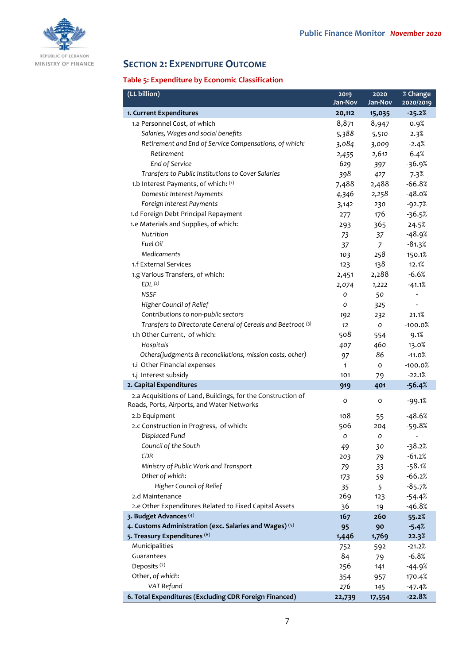

# **SECTION 2: EXPENDITURE OUTCOME**

# **Table 5: Expenditure by Economic Classification**

| (LL billion)                                                                                               | 2019         | $20\overline{20}$ | % Change       |
|------------------------------------------------------------------------------------------------------------|--------------|-------------------|----------------|
|                                                                                                            | Jan-Nov      | Jan-Nov           | 2020/2019      |
| 1. Current Expenditures                                                                                    | 20,112       | 15,035            | $-25.2%$       |
| 1.a Personnel Cost, of which                                                                               | 8,871        | 8,947             | 0.9%           |
| Salaries, Wages and social benefits                                                                        | 5,388        | 5,510             | 2.3%           |
| Retirement and End of Service Compensations, of which:                                                     | 3,084        | 3,009             | $-2.4%$        |
| Retirement                                                                                                 | 2,455        | 2,612             | 6.4%           |
| End of Service                                                                                             | 629          | 397               | $-36.9%$       |
| Transfers to Public Institutions to Cover Salaries                                                         | 398          | 427               | 7.3%           |
| 1.b Interest Payments, of which: (1)                                                                       | 7,488        | 2,488             | $-66.8%$       |
| Domestic Interest Payments                                                                                 | 4,346        | 2,258             | $-48.0%$       |
| Foreign Interest Payments                                                                                  | 3,142        | 230               | $-92.7%$       |
| 1.d Foreign Debt Principal Repayment                                                                       | 277          | 176               | $-36.5%$       |
| 1.e Materials and Supplies, of which:                                                                      | 293          | 365               | 24.5%          |
| Nutrition                                                                                                  | 73           | 37                | $-48.9%$       |
| Fuel Oil                                                                                                   | 37           | $\overline{7}$    | $-81.3%$       |
| <b>Medicaments</b>                                                                                         | 103          | 258               | 150.1%         |
| 1.f External Services                                                                                      | 123          | 138               | 12.1%          |
| 1.g Various Transfers, of which:                                                                           | 2,451        | 2,288             | $-6.6%$        |
| EDL <sup>(2)</sup>                                                                                         | 2,074        | 1,222             | $-41.1%$       |
| <b>NSSF</b>                                                                                                | 0            | 50                | -              |
| Higher Council of Relief                                                                                   | 0            | 325               | $\overline{a}$ |
| Contributions to non-public sectors                                                                        | 192          | 232               | 21.1%          |
| Transfers to Directorate General of Cereals and Beetroot (3)                                               | 12           | O                 | $-100.0%$      |
| 1.h Other Current, of which:                                                                               | 508          | 554               | 9.1%           |
| Hospitals                                                                                                  | 407          | 460               | 13.0%          |
| Others(judgments & reconciliations, mission costs, other)                                                  | 97           | 86                | $-11.0%$       |
| 1.i Other Financial expenses                                                                               | $\mathbf{1}$ | $\circ$           | $-100.0%$      |
| 1.j Interest subsidy                                                                                       | 101          | 79                | $-22.1%$       |
| 2. Capital Expenditures                                                                                    | 919          | 401               | $-56.4%$       |
| 2.a Acquisitions of Land, Buildings, for the Construction of<br>Roads, Ports, Airports, and Water Networks | 0            | o                 | $-99.1%$       |
| 2.b Equipment                                                                                              | 108          | 55                | $-48.6%$       |
| 2.c Construction in Progress, of which:                                                                    | 506          | 204               | $-59.8%$       |
| Displaced Fund                                                                                             | 0            | 0                 |                |
| Council of the South                                                                                       | 49           | 30                | $-38.2%$       |
| CDR                                                                                                        | 203          | 79                | $-61.2%$       |
| Ministry of Public Work and Transport                                                                      | 79           | 33                | $-58.1%$       |
| Other of which:                                                                                            | 173          | 59                | $-66.2%$       |
| Higher Council of Relief                                                                                   | 35           | 5                 | $-85.7%$       |
| 2.d Maintenance                                                                                            | 269          | 123               | $-54.4%$       |
| 2.e Other Expenditures Related to Fixed Capital Assets                                                     | 36           | 19                | $-46.8%$       |
| 3. Budget Advances (4)                                                                                     | 167          | 260               | 55.2%          |
| 4. Customs Administration (exc. Salaries and Wages) (5)                                                    | 95           | 90                | $-5.4%$        |
| 5. Treasury Expenditures (6)                                                                               | 1,446        | 1,769             | 22.3%          |
| Municipalities                                                                                             | 752          | 592               | $-21.2%$       |
| Guarantees                                                                                                 | 84           | 79                | $-6.8%$        |
| Deposits <sup>(7)</sup>                                                                                    | 256          | 141               | $-44.9%$       |
| Other, of which:                                                                                           | 354          | 957               | 170.4%         |
| VAT Refund                                                                                                 | 276          | 145               | $-47.4%$       |
| 6. Total Expenditures (Excluding CDR Foreign Financed)                                                     | 22,739       | 17,554            | $-22.8%$       |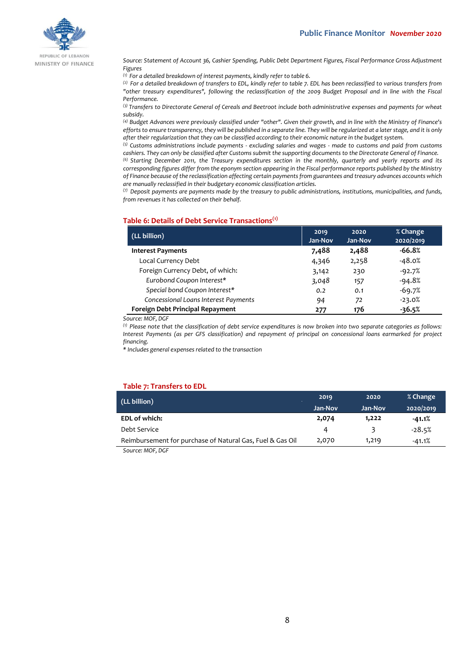

REPUBLIC OF LEBANON MINISTRY OF FINANCE

*Source: Statement of Account 36, Cashier Spending, Public Debt Department Figures, Fiscal Performance Gross Adjustment Figures*

*(1) For a detailed breakdown of interest payments, kindly refer to table 6.*

*(2) For a detailed breakdown of transfers to EDL, kindly refer to table 7. EDL has been reclassified to various transfers from "other treasury expenditures", following the reclassification of the 2009 Budget Proposal and in line with the Fiscal Performance.*

*(3) Transfers to Directorate General of Cereals and Beetroot include both administrative expenses and payments for wheat subsidy.*

*(4) Budget Advances were previously classified under "other". Given their growth, and in line with the Ministry of Finance's efforts to ensure transparency, they will be published in a separate line. They will be regularized at a later stage, and it is only after their regularization that they can be classified according to their economic nature in the budget system.*

*(5) Customs administrations include payments - excluding salaries and wages - made to customs and paid from customs cashiers. They can only be classified after Customs submit the supporting documents to the Directorate General of Finance.*

*(6) Starting December 2011, the Treasury expenditures section in the monthly, quarterly and yearly reports and its corresponding figures differ from the eponym section appearing in the Fiscal performance reports published by the Ministry of Finance because of the reclassification affecting certain payments from guarantees and treasury advances accounts which are manually reclassified in their budgetary economic classification articles.*

*(7) Deposit payments are payments made by the treasury to public administrations, institutions, municipalities, and funds, from revenues it has collected on their behalf.*

#### **Table 6: Details of Debt Service Transactions(1)**

| (LL billion)                         | 2019<br>Jan-Nov | 2020<br>Jan-Nov | % Change<br>2020/2019 |
|--------------------------------------|-----------------|-----------------|-----------------------|
| <b>Interest Payments</b>             | 7,488           | 2,488           | $-66.8%$              |
| Local Currency Debt                  | 4,346           | 2,258           | $-48.0%$              |
| Foreign Currency Debt, of which:     | 3,142           | 230             | $-92.7%$              |
| Eurobond Coupon Interest*            | 3,048           | 157             | $-94.8%$              |
| Special bond Coupon Interest*        | 0.2             | 0.1             | $-69.7%$              |
| Concessional Loans Interest Payments | 94              | 72              | $-23.0%$              |
| Foreign Debt Principal Repayment     | 277             | 176             | $-36.5%$              |

*Source: MOF, DGF*

*(1) Please note that the classification of debt service expenditures is now broken into two separate categories as follows: Interest Payments (as per GFS classification) and repayment of principal on concessional loans earmarked for project financing.*

*\* Includes general expenses related to the transaction*

### **Table 7: Transfers to EDL**

| (LL billion)                                              | 2019    | 2020    | % Change  |
|-----------------------------------------------------------|---------|---------|-----------|
|                                                           | Jan-Nov | Jan-Nov | 2020/2019 |
| <b>EDL of which:</b>                                      | 2,074   | 1,222   | $-41.1%$  |
| Debt Service                                              |         |         | $-28.5%$  |
| Reimbursement for purchase of Natural Gas, Fuel & Gas Oil | 2,070   | 1,219   | $-41.1%$  |
| $\sim$ $\sim$ $\sim$ $\sim$ $\sim$ $\sim$                 |         |         |           |

*Source: MOF, DGF*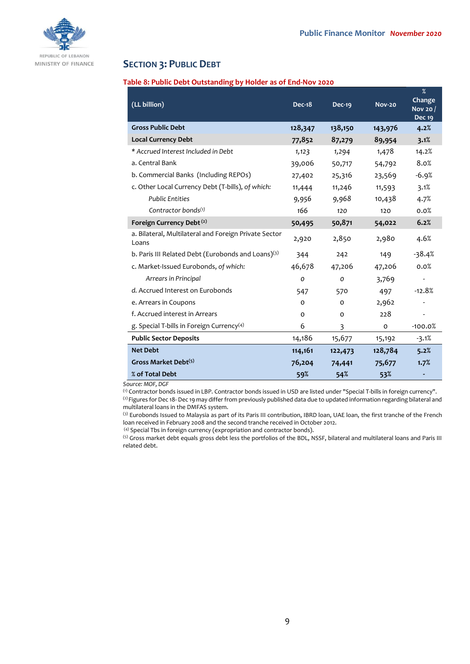

## **SECTION 3: PUBLIC DEBT**

### **Table 8: Public Debt Outstanding by Holder as of End-Nov 2020**

| (LL billion)                                                   | <b>Dec-18</b> | Dec-19        | <b>Nov-20</b> | $\%$<br>Change<br>Nov 20 /<br><b>Dec 19</b> |
|----------------------------------------------------------------|---------------|---------------|---------------|---------------------------------------------|
| <b>Gross Public Debt</b>                                       | 128,347       | 138,150       | 143,976       | 4.2%                                        |
| <b>Local Currency Debt</b>                                     | 77,852        | 87,279        | 89,954        | 3.1%                                        |
| * Accrued Interest Included in Debt                            | 1,123         | 1,294         | 1,478         | 14.2%                                       |
| a. Central Bank                                                | 39,006        | 50,717        | 54,792        | 8.0%                                        |
| b. Commercial Banks (Including REPOs)                          | 27,402        | 25,316        | 23,569        | $-6.9%$                                     |
| c. Other Local Currency Debt (T-bills), of which:              | 11,444        | 11,246        | 11,593        | 3.1%                                        |
| <b>Public Entities</b>                                         | 9,956         | 9,968         | 10,438        | 4.7%                                        |
| Contractor bonds <sup>(1)</sup>                                | 166           | 120           | 120           | 0.0%                                        |
| Foreign Currency Debt <sup>(2)</sup>                           | 50,495        | 50,871        | 54,022        | 6.2%                                        |
| a. Bilateral, Multilateral and Foreign Private Sector<br>Loans | 2,920         | 2,850         | 2,980         | 4.6%                                        |
| b. Paris III Related Debt (Eurobonds and Loans)(3)             | 344           | 242           | 149           | $-38.4%$                                    |
| c. Market-Issued Eurobonds, of which:                          | 46,678        | 47,206        | 47,206        | 0.0%                                        |
| Arrears in Principal                                           | $\mathcal{O}$ | $\mathcal{O}$ | 3,769         |                                             |
| d. Accrued Interest on Eurobonds                               | 547           | 570           | 497           | $-12.8%$                                    |
| e. Arrears in Coupons                                          | $\Omega$      | $\Omega$      | 2,962         | $\overline{\phantom{a}}$                    |
| f. Accrued interest in Arrears                                 | 0             | $\Omega$      | 228           | -                                           |
| g. Special T-bills in Foreign Currency <sup>(4)</sup>          | 6             | 3             | $\mathbf{o}$  | $-100.0%$                                   |
| <b>Public Sector Deposits</b>                                  | 14,186        | 15,677        | 15,192        | $-3.1%$                                     |
| <b>Net Debt</b>                                                | 114,161       | 122,473       | 128,784       | 5.2%                                        |
| Gross Market Debt <sup>(5)</sup>                               | 76,204        | 74,441        | 75,677        | 1.7%                                        |
| % of Total Debt                                                | 59%           | 54%           | 53%           |                                             |

*Source: MOF, DGF*

(1) Contractor bonds issued in LBP. Contractor bonds issued in USD are listed under "Special T-bills in foreign currency". (2) Figures for Dec 18- Dec 19 may differ from previously published data due to updated information regarding bilateral and multilateral loans in the DMFAS system.

(3) Eurobonds Issued to Malaysia as part of its Paris III contribution, IBRD loan, UAE loan, the first tranche of the French loan received in February 2008 and the second tranche received in October 2012.

(4) Special Tbs in foreign currency (expropriation and contractor bonds).

(5) Gross market debt equals gross debt less the portfolios of the BDL, NSSF, bilateral and multilateral loans and Paris III related debt.